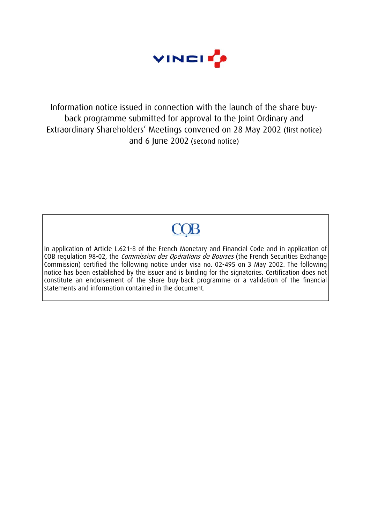

Information notice issued in connection with the launch of the share buyback programme submitted for approval to the Joint Ordinary and Extraordinary Shareholders' Meetings convened on 28 May 2002 (first notice) and 6 June 2002 (second notice)

# **COB**

In application of Article L.621-8 of the French Monetary and Financial Code and in application of COB regulation 98-02, the *Commission des Opérations de Bourses* (the French Securities Exchange Commission) certified the following notice under visa no. 02-495 on 3 May 2002. The following notice has been established by the issuer and is binding for the signatories. Certification does not constitute an endorsement of the share buy-back programme or a validation of the financial statements and information contained in the document.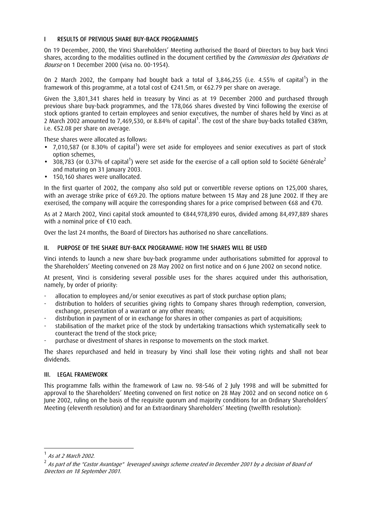# I RESULTS OF PREVIOUS SHARE BUY-BACK PROGRAMMES

On 19 December, 2000, the Vinci Shareholders' Meeting authorised the Board of Directors to buy back Vinci shares, according to the modalities outlined in the document certified by the *Commission des Opérations de* Bourse on 1 December 2000 (visa no. 00-1954).

On 2 March 2002, the Company had bought back a total of 3,846,255 (i.e. 4.55% of capital<sup>1</sup>) in the framework of this programme, at a total cost of €241.5m, or €62.79 per share on average.

Given the 3,801,341 shares held in treasury by Vinci as at 19 December 2000 and purchased through previous share buy-back programmes, and the 178,066 shares divested by Vinci following the exercise of stock options granted to certain employees and senior executives, the number of shares held by Vinci as at 2 March 2002 amounted to 7,469,530, or 8.84% of capital<sup>1</sup>. The cost of the share buy-backs totalled €389m, i.e. €52.08 per share on average.

These shares were allocated as follows:

- $\bullet$  7,010,587 (or 8.30% of capital<sup>1</sup>) were set aside for employees and senior executives as part of stock option schemes,
- 308,783 (or 0.37% of capital<sup>1</sup>) were set aside for the exercise of a call option sold to Société Générale<sup>2</sup> and maturing on 31 January 2003.
- 150,160 shares were unallocated.

In the first quarter of 2002, the company also sold put or convertible reverse options on 125,000 shares, with an average strike price of €69.20. The options mature between 15 May and 28 June 2002. If they are exercised, the company will acquire the corresponding shares for a price comprised between €68 and €70.

As at 2 March 2002, Vinci capital stock amounted to €844,978,890 euros, divided among 84,497,889 shares with a nominal price of €10 each.

Over the last 24 months, the Board of Directors has authorised no share cancellations.

## II. PURPOSE OF THE SHARE BUY-BACK PROGRAMME: HOW THE SHARES WILL BE USED

Vinci intends to launch a new share buy-back programme under authorisations submitted for approval to the Shareholders' Meeting convened on 28 May 2002 on first notice and on 6 June 2002 on second notice.

At present, Vinci is considering several possible uses for the shares acquired under this authorisation, namely, by order of priority:

- allocation to employees and/or senior executives as part of stock purchase option plans;
- distribution to holders of securities giving rights to Company shares through redemption, conversion, exchange, presentation of a warrant or any other means;
- distribution in payment of or in exchange for shares in other companies as part of acquisitions;
- stabilisation of the market price of the stock by undertaking transactions which systematically seek to counteract the trend of the stock price;
- purchase or divestment of shares in response to movements on the stock market.

The shares repurchased and held in treasury by Vinci shall lose their voting rights and shall not bear dividends.

## III. LEGAL FRAMEWORK

This programme falls within the framework of Law no. 98-546 of 2 July 1998 and will be submitted for approval to the Shareholders' Meeting convened on first notice on 28 May 2002 and on second notice on 6 June 2002, ruling on the basis of the requisite quorum and majority conditions for an Ordinary Shareholders' Meeting (eleventh resolution) and for an Extraordinary Shareholders' Meeting (twelfth resolution):

 $\overline{a}$ 

 $<sup>1</sup>$  As at 2 March 2002.</sup>

 $2$  As part of the "Castor Avantage" leveraged savings scheme created in December 2001 by a decision of Board of Directors on 18 September 2001.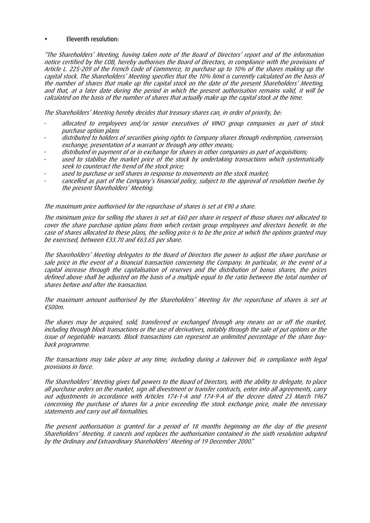## • Eleventh resolution:

"The Shareholders' Meeting, having taken note of the Board of Directors' report and of the information notice certified by the COB, hereby authorises the Board of Directors, in compliance with the provisions of Article L. 225-209 of the French Code of Commerce, to purchase up to 10% of the shares making up the capital stock. The Shareholders' Meeting specifies that the 10% limit is currently calculated on the basis of the number of shares that make up the capital stock on the date of the present Shareholders' Meeting, and that, at a later date during the period in which the present authorisation remains valid, it will be calculated on the basis of the number of shares that actually make up the capital stock at the time.

The Shareholders' Meeting hereby decides that treasury shares can, in order of priority, be:

- allocated to employees and/or senior executives of VINCI group companies as part of stock purchase option plans
- distributed to holders of securities giving rights to Company shares through redemption, conversion, exchange, presentation of a warrant or through any other means;
- distributed in payment of or in exchange for shares in other companies as part of acquisitions;
- used to stabilise the market price of the stock by undertaking transactions which systematically seek to counteract the trend of the stock price;
- used to purchase or sell shares in response to movements on the stock market;
- cancelled as part of the Company's financial policy, subject to the approval of resolution twelve by the present Shareholders' Meeting.

The maximum price authorised for the repurchase of shares is set at  $\epsilon$ 90 a share.

The minimum price for selling the shares is set at €60 per share in respect of those shares not allocated to cover the share purchase option plans from which certain group employees and directors benefit. In the case of shares allocated to these plans, the selling price is to be the price at which the options granted may be exercised, between €33.70 and €63.65 per share.

The Shareholders' Meeting delegates to the Board of Directors the power to adjust the share purchase or sale price in the event of a financial transaction concerning the Company. In particular, in the event of a capital increase through the capitalisation of reserves and the distribution of bonus shares, the prices defined above shall be adjusted on the basis of a multiple equal to the ratio between the total number of shares before and after the transaction.

The maximum amount authorised by the Shareholders' Meeting for the repurchase of shares is set at €500m.

The shares may be acquired, sold, transferred or exchanged through any means on or off the market, including through block transactions or the use of derivatives, notably through the sale of put options or the issue of negotiable warrants. Block transactions can represent an unlimited percentage of the share buyback programme.

The transactions may take place at any time, including during a takeover bid, in compliance with legal provisions in force.

The Shareholders' Meeting gives full powers to the Board of Directors, with the ability to delegate, to place all purchase orders on the market, sign all divestment or transfer contracts, enter into all agreements, carry out adjustments in accordance with Articles 174-1-A and 174-9-A of the decree dated 23 March 1967 concerning the purchase of shares for a price exceeding the stock exchange price, make the necessary statements and carry out all formalities.

The present authorisation is granted for a period of 18 months beginning on the day of the present Shareholders' Meeting. It cancels and replaces the authorisation contained in the sixth resolution adopted by the Ordinary and Extraordinary Shareholders' Meeting of 19 December 2000."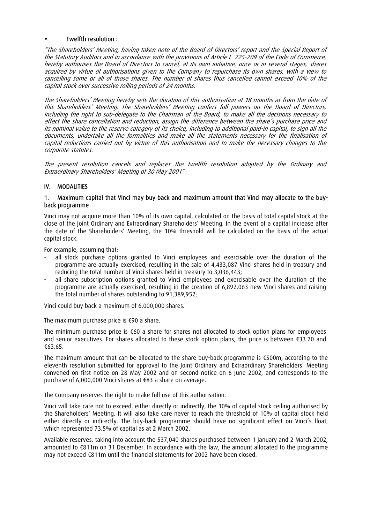## • Twelfth resolution :

"The Shareholders' Meeting, having taken note of the Board of Directors' report and the Special Report of the Statutory Auditors and in accordance with the provisions of Article L. 225-209 of the Code of Commerce, hereby authorises the Board of Directors to cancel, at its own initiative, once or in several stages, shares acquired by virtue of authorisations given to the Company to repurchase its own shares, with a view to cancelling some or all of those shares. The number of shares thus cancelled cannot exceed 10% of the capital stock over successive rolling periods of 24 months.

The Shareholders' Meeting hereby sets the duration of this authorisation at 18 months as from the date of this Shareholders' Meeting. The Shareholders' Meeting confers full powers on the Board of Directors, including the right to sub-delegate to the Chairman of the Board, to make all the decisions necessary to effect the share cancellation and reduction, assign the difference between the share's purchase price and its nominal value to the reserve category of its choice, including to additional paid-in capital, to sign all the documents, undertake all the formalities and make all the statements necessary for the finalisation of capital reductions carried out by virtue of this authorisation and to make the necessary changes to the corporate statutes.

The present resolution cancels and replaces the twelfth resolution adopted by the Ordinary and Extraordinary Shareholders' Meeting of 30 May 2001"

## IV. MODALITIES

#### 1. Maximum capital that Vinci may buy back and maximum amount that Vinci may allocate to the buyback programme

Vinci may not acquire more than 10% of its own capital, calculated on the basis of total capital stock at the close of the Joint Ordinary and Extraordinary Shareholders' Meeting. In the event of a capital increase after the date of the Shareholders' Meeting, the 10% threshold will be calculated on the basis of the actual capital stock.

For example, assuming that:

- all stock purchase options granted to Vinci employees and exercisable over the duration of the programme are actually exercised, resulting in the sale of 4,433,087 Vinci shares held in treasury and reducing the total number of Vinci shares held in treasury to 3,036,443;
- all share subscription options granted to Vinci employees and exercisable over the duration of the programme are actually exercised, resulting in the creation of 6,892,063 new Vinci shares and raising the total number of shares outstanding to 91,389,952;

Vinci could buy back a maximum of 6,000,000 shares.

The maximum purchase price is €90 a share.

The minimum purchase price is €60 a share for shares not allocated to stock option plans for employees and senior executives. For shares allocated to these stock option plans, the price is between €33.70 and €63.65.

The maximum amount that can be allocated to the share buy-back programme is €500m, according to the eleventh resolution submitted for approval to the Joint Ordinary and Extraordinary Shareholders' Meeting convened on first notice on 28 May 2002 and on second notice on 6 June 2002, and corresponds to the purchase of 6,000,000 Vinci shares at €83 a share on average.

The Company reserves the right to make full use of this authorisation.

Vinci will take care not to exceed, either directly or indirectly, the 10% of capital stock ceiling authorised by the Shareholders' Meeting. It will also take care never to reach the threshold of 10% of capital stock held either directly or indirectly. The buy-back programme should have no significant effect on Vinci's float, which represented 73.5% of capital as at 2 March 2002.

Available reserves, taking into account the 537,040 shares purchased between 1 January and 2 March 2002, amounted to €811m on 31 December. In accordance with the law, the amount allocated to the programme may not exceed €811m until the financial statements for 2002 have been closed.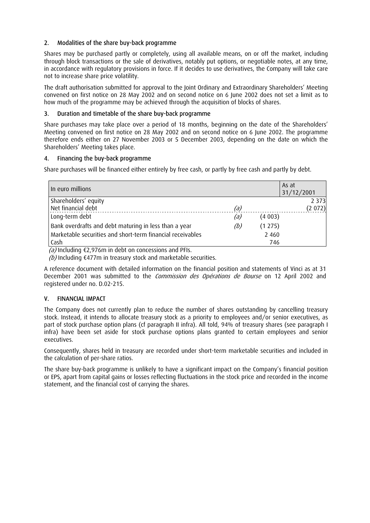# 2. Modalities of the share buy-back programme

Shares may be purchased partly or completely, using all available means, on or off the market, including through block transactions or the sale of derivatives, notably put options, or negotiable notes, at any time, in accordance with regulatory provisions in force. If it decides to use derivatives, the Company will take care not to increase share price volatility.

The draft authorisation submitted for approval to the Joint Ordinary and Extraordinary Shareholders' Meeting convened on first notice on 28 May 2002 and on second notice on 6 June 2002 does not set a limit as to how much of the programme may be achieved through the acquisition of blocks of shares.

## 3. Duration and timetable of the share buy-back programme

Share purchases may take place over a period of 18 months, beginning on the date of the Shareholders' Meeting convened on first notice on 28 May 2002 and on second notice on 6 June 2002. The programme therefore ends either on 27 November 2003 or 5 December 2003, depending on the date on which the Shareholders' Meeting takes place.

## 4. Financing the buy-back programme

Share purchases will be financed either entirely by free cash, or partly by free cash and partly by debt.

| In euro millions                                           |     |         | As at<br>31/12/2001 |
|------------------------------------------------------------|-----|---------|---------------------|
| Shareholders' equity                                       |     |         | 2 3 7 3             |
| Net financial debt                                         | (a) |         | (2072)              |
| Long-term debt                                             | (a) | (4003)  |                     |
| Bank overdrafts and debt maturing in less than a year      | (b) | (1275)  |                     |
| Marketable securities and short-term financial receivables |     | 2 4 6 0 |                     |
| Cash                                                       |     | 746     |                     |

 $(a)$  Including  $E$ ,976m in debt on concessions and PFIs.

(b) Including  $\epsilon$ 477m in treasury stock and marketable securities.

A reference document with detailed information on the financial position and statements of Vinci as at 31 December 2001 was submitted to the Commission des Opérations de Bourse on 12 April 2002 and registered under no. D.02-215.

# V. FINANCIAL IMPACT

The Company does not currently plan to reduce the number of shares outstanding by cancelling treasury stock. Instead, it intends to allocate treasury stock as a priority to employees and/or senior executives, as part of stock purchase option plans (cf paragraph II infra). All told, 94% of treasury shares (see paragraph I infra) have been set aside for stock purchase options plans granted to certain employees and senior executives.

Consequently, shares held in treasury are recorded under short-term marketable securities and included in the calculation of per-share ratios.

The share buy-back programme is unlikely to have a significant impact on the Company's financial position or EPS, apart from capital gains or losses reflecting fluctuations in the stock price and recorded in the income statement, and the financial cost of carrying the shares.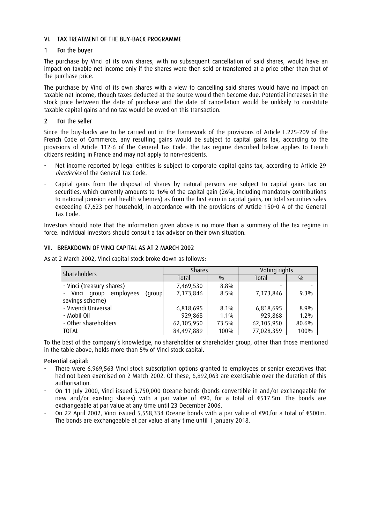## VI. TAX TREATMENT OF THE BUY-BACK PROGRAMME

## 1 For the buyer

The purchase by Vinci of its own shares, with no subsequent cancellation of said shares, would have an impact on taxable net income only if the shares were then sold or transferred at a price other than that of the purchase price.

The purchase by Vinci of its own shares with a view to cancelling said shares would have no impact on taxable net income, though taxes deducted at the source would then become due. Potential increases in the stock price between the date of purchase and the date of cancellation would be unlikely to constitute taxable capital gains and no tax would be owed on this transaction.

## 2 For the seller

Since the buy-backs are to be carried out in the framework of the provisions of Article L.225-209 of the French Code of Commerce, any resulting gains would be subject to capital gains tax, according to the provisions of Article 112-6 of the General Tax Code. The tax regime described below applies to French citizens residing in France and may not apply to non-residents.

- Net income reported by legal entities is subject to corporate capital gains tax, according to Article 29 duodecies of the General Tax Code.
- Capital gains from the disposal of shares by natural persons are subject to capital gains tax on securities, which currently amounts to 16% of the capital gain (26%, including mandatory contributions to national pension and health schemes) as from the first euro in capital gains, on total securities sales exceeding €7,623 per household, in accordance with the provisions of Article 150-0 A of the General Tax Code.

Investors should note that the information given above is no more than a summary of the tax regime in force. Individual investors should consult a tax advisor on their own situation.

## VII. BREAKDOWN OF VINCI CAPITAL AS AT 2 MARCH 2002

| Shareholders                           | <b>Shares</b> |         | Voting rights |               |
|----------------------------------------|---------------|---------|---------------|---------------|
|                                        | Total         | 0/0     | Total         | $\frac{0}{0}$ |
| - Vinci (treasury shares)              | 7,469,530     | 8.8%    |               |               |
| Vinci<br>employees<br>qroup<br>(group) | 7,173,846     | $8.5\%$ | 7,173,846     | $9.3\%$       |
| savings scheme)                        |               |         |               |               |
| - Vivendi Universal                    | 6,818,695     | $8.1\%$ | 6,818,695     | 8.9%          |
| - Mobil Oil                            | 929,868       | $1.1\%$ | 929,868       | $1.2\%$       |
| - Other shareholders                   | 62,105,950    | 73.5%   | 62,105,950    | 80.6%         |
| <b>TOTAL</b>                           | 84,497,889    | 100%    | 77,028,359    | 100%          |

As at 2 March 2002, Vinci capital stock broke down as follows:

To the best of the company's knowledge, no shareholder or shareholder group, other than those mentioned in the table above, holds more than 5% of Vinci stock capital.

## Potential capital:

- There were 6,969,563 Vinci stock subscription options granted to employees or senior executives that had not been exercised on 2 March 2002. Of these, 6,892,063 are exercisable over the duration of this authorisation.
- On 11 July 2000, Vinci issued 5,750,000 Oceane bonds (bonds convertible in and/or exchangeable for new and/or existing shares) with a par value of €90, for a total of €517.5m. The bonds are exchangeable at par value at any time until 23 December 2006.
- On 22 April 2002, Vinci issued 5,558,334 Oceane bonds with a par value of €90,for a total of €500m. The bonds are exchangeable at par value at any time until 1 January 2018.